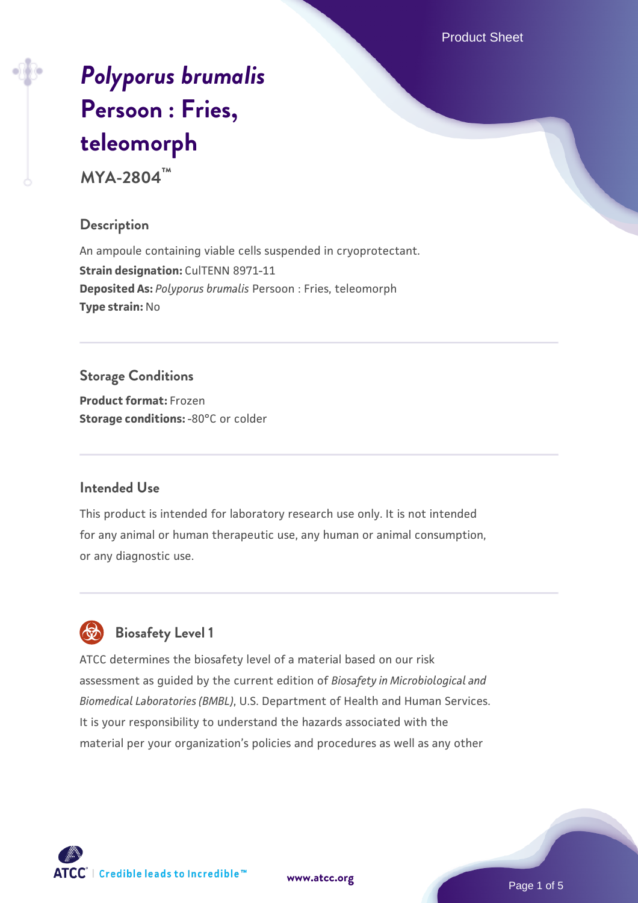Product Sheet

# *[Polyporus brumalis](https://www.atcc.org/products/mya-2804)* **[Persoon : Fries,](https://www.atcc.org/products/mya-2804) [teleomorph](https://www.atcc.org/products/mya-2804)**

**MYA-2804™**

# **Description**

An ampoule containing viable cells suspended in cryoprotectant. **Strain designation: CulTENN 8971-11 Deposited As:** *Polyporus brumalis* Persoon : Fries, teleomorph **Type strain:** No

# **Storage Conditions**

**Product format:** Frozen **Storage conditions: -80°C** or colder

## **Intended Use**

This product is intended for laboratory research use only. It is not intended for any animal or human therapeutic use, any human or animal consumption, or any diagnostic use.



# **Biosafety Level 1**

ATCC determines the biosafety level of a material based on our risk assessment as guided by the current edition of *Biosafety in Microbiological and Biomedical Laboratories (BMBL)*, U.S. Department of Health and Human Services. It is your responsibility to understand the hazards associated with the material per your organization's policies and procedures as well as any other

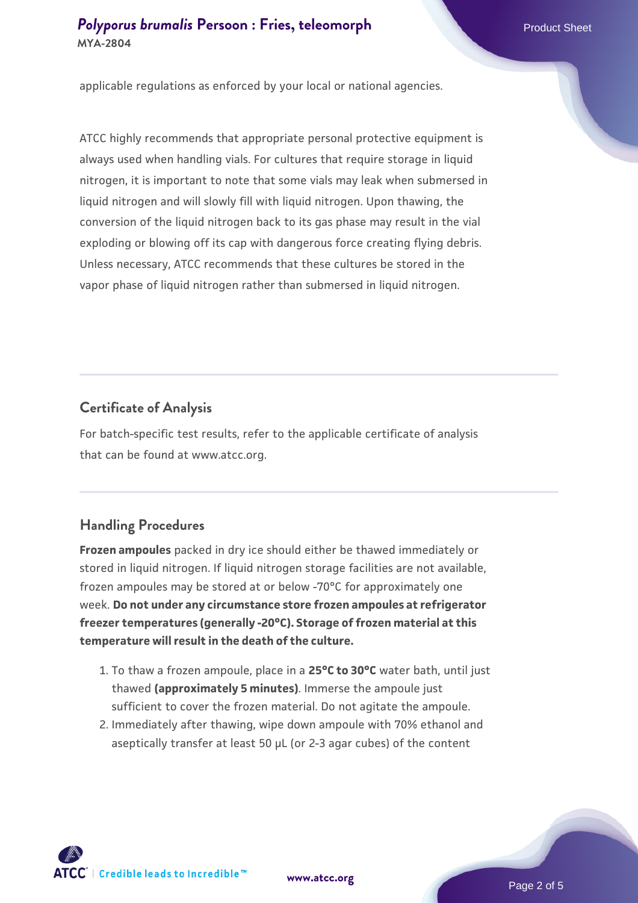## **[Polyporus brumalis](https://www.atcc.org/products/mya-2804) [Persoon : Fries, teleomorph](https://www.atcc.org/products/mya-2804)** Product Sheet **MYA-2804**

applicable regulations as enforced by your local or national agencies.

ATCC highly recommends that appropriate personal protective equipment is always used when handling vials. For cultures that require storage in liquid nitrogen, it is important to note that some vials may leak when submersed in liquid nitrogen and will slowly fill with liquid nitrogen. Upon thawing, the conversion of the liquid nitrogen back to its gas phase may result in the vial exploding or blowing off its cap with dangerous force creating flying debris. Unless necessary, ATCC recommends that these cultures be stored in the vapor phase of liquid nitrogen rather than submersed in liquid nitrogen.

#### **Certificate of Analysis**

For batch-specific test results, refer to the applicable certificate of analysis that can be found at www.atcc.org.

#### **Handling Procedures**

**Frozen ampoules** packed in dry ice should either be thawed immediately or stored in liquid nitrogen. If liquid nitrogen storage facilities are not available, frozen ampoules may be stored at or below -70°C for approximately one week. **Do not under any circumstance store frozen ampoules at refrigerator freezer temperatures (generally -20°C). Storage of frozen material at this temperature will result in the death of the culture.**

- 1. To thaw a frozen ampoule, place in a **25°C to 30°C** water bath, until just thawed **(approximately 5 minutes)**. Immerse the ampoule just sufficient to cover the frozen material. Do not agitate the ampoule.
- 2. Immediately after thawing, wipe down ampoule with 70% ethanol and aseptically transfer at least 50 µL (or 2-3 agar cubes) of the content

 $\mathsf{ATCC}^*$   $\vdash$  Credible leads to Incredible  $\mathbb {m}$ 

**[www.atcc.org](http://www.atcc.org)**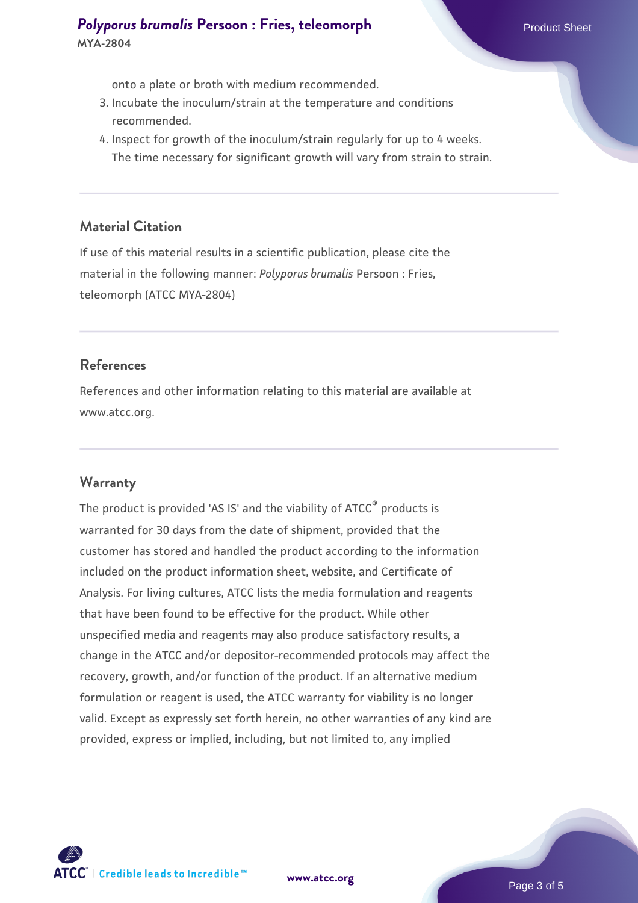# **[Polyporus brumalis](https://www.atcc.org/products/mya-2804) [Persoon : Fries, teleomorph](https://www.atcc.org/products/mya-2804)** Product Sheet **MYA-2804**

onto a plate or broth with medium recommended.

- 3. Incubate the inoculum/strain at the temperature and conditions recommended.
- 4. Inspect for growth of the inoculum/strain regularly for up to 4 weeks. The time necessary for significant growth will vary from strain to strain.

#### **Material Citation**

If use of this material results in a scientific publication, please cite the material in the following manner: *Polyporus brumalis* Persoon : Fries, teleomorph (ATCC MYA-2804)

#### **References**

References and other information relating to this material are available at www.atcc.org.

#### **Warranty**

The product is provided 'AS IS' and the viability of ATCC<sup>®</sup> products is warranted for 30 days from the date of shipment, provided that the customer has stored and handled the product according to the information included on the product information sheet, website, and Certificate of Analysis. For living cultures, ATCC lists the media formulation and reagents that have been found to be effective for the product. While other unspecified media and reagents may also produce satisfactory results, a change in the ATCC and/or depositor-recommended protocols may affect the recovery, growth, and/or function of the product. If an alternative medium formulation or reagent is used, the ATCC warranty for viability is no longer valid. Except as expressly set forth herein, no other warranties of any kind are provided, express or implied, including, but not limited to, any implied

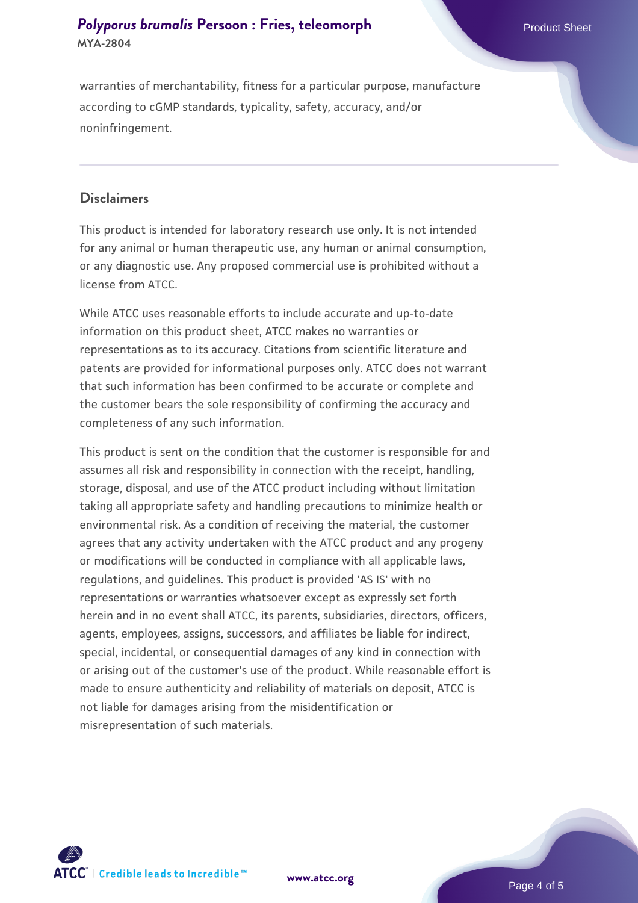# **[Polyporus brumalis](https://www.atcc.org/products/mya-2804) [Persoon : Fries, teleomorph](https://www.atcc.org/products/mya-2804)** Product Sheet **MYA-2804**

warranties of merchantability, fitness for a particular purpose, manufacture according to cGMP standards, typicality, safety, accuracy, and/or noninfringement.

#### **Disclaimers**

This product is intended for laboratory research use only. It is not intended for any animal or human therapeutic use, any human or animal consumption, or any diagnostic use. Any proposed commercial use is prohibited without a license from ATCC.

While ATCC uses reasonable efforts to include accurate and up-to-date information on this product sheet, ATCC makes no warranties or representations as to its accuracy. Citations from scientific literature and patents are provided for informational purposes only. ATCC does not warrant that such information has been confirmed to be accurate or complete and the customer bears the sole responsibility of confirming the accuracy and completeness of any such information.

This product is sent on the condition that the customer is responsible for and assumes all risk and responsibility in connection with the receipt, handling, storage, disposal, and use of the ATCC product including without limitation taking all appropriate safety and handling precautions to minimize health or environmental risk. As a condition of receiving the material, the customer agrees that any activity undertaken with the ATCC product and any progeny or modifications will be conducted in compliance with all applicable laws, regulations, and guidelines. This product is provided 'AS IS' with no representations or warranties whatsoever except as expressly set forth herein and in no event shall ATCC, its parents, subsidiaries, directors, officers, agents, employees, assigns, successors, and affiliates be liable for indirect, special, incidental, or consequential damages of any kind in connection with or arising out of the customer's use of the product. While reasonable effort is made to ensure authenticity and reliability of materials on deposit, ATCC is not liable for damages arising from the misidentification or misrepresentation of such materials.



**[www.atcc.org](http://www.atcc.org)**

Page 4 of 5